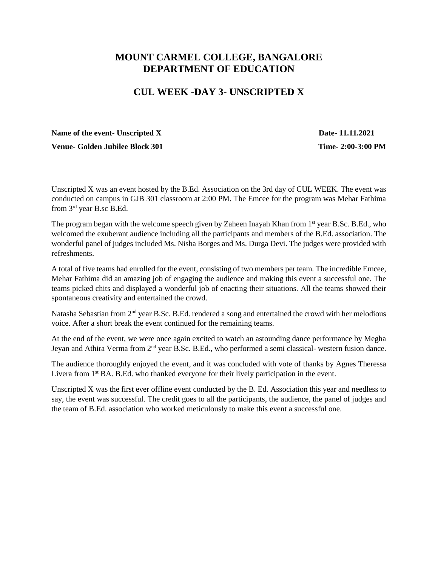## **MOUNT CARMEL COLLEGE, BANGALORE DEPARTMENT OF EDUCATION**

## **CUL WEEK -DAY 3- UNSCRIPTED X**

## Name of the event- Unscripted X Date-11.11.2021

**Venue-** Golden Jubilee Block 301 **Time-** 2:00-3:00 PM

Unscripted X was an event hosted by the B.Ed. Association on the 3rd day of CUL WEEK. The event was conducted on campus in GJB 301 classroom at 2:00 PM. The Emcee for the program was Mehar Fathima from 3rd year B.sc B.Ed.

The program began with the welcome speech given by Zaheen Inayah Khan from 1<sup>st</sup> year B.Sc. B.Ed., who welcomed the exuberant audience including all the participants and members of the B.Ed. association. The wonderful panel of judges included Ms. Nisha Borges and Ms. Durga Devi. The judges were provided with refreshments.

A total of five teams had enrolled for the event, consisting of two members per team. The incredible Emcee, Mehar Fathima did an amazing job of engaging the audience and making this event a successful one. The teams picked chits and displayed a wonderful job of enacting their situations. All the teams showed their spontaneous creativity and entertained the crowd.

Natasha Sebastian from 2<sup>nd</sup> year B.Sc. B.Ed. rendered a song and entertained the crowd with her melodious voice. After a short break the event continued for the remaining teams.

At the end of the event, we were once again excited to watch an astounding dance performance by Megha Jeyan and Athira Verma from  $2<sup>nd</sup>$  year B.Sc. B.Ed., who performed a semi classical- western fusion dance.

The audience thoroughly enjoyed the event, and it was concluded with vote of thanks by Agnes Theressa Livera from 1<sup>st</sup> BA. B.Ed. who thanked everyone for their lively participation in the event.

Unscripted X was the first ever offline event conducted by the B. Ed. Association this year and needless to say, the event was successful. The credit goes to all the participants, the audience, the panel of judges and the team of B.Ed. association who worked meticulously to make this event a successful one.